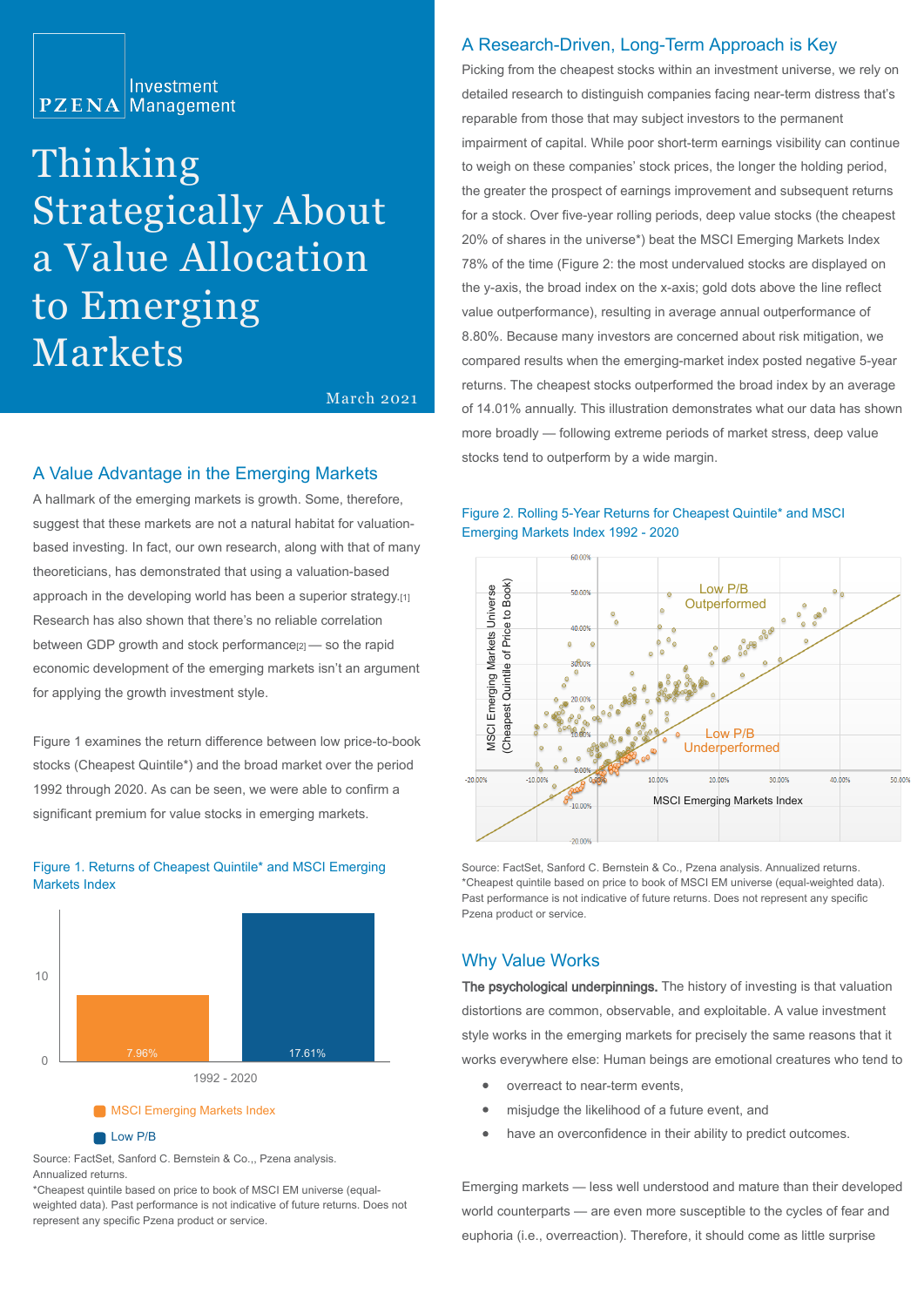

# Thinking Strategically About a Value Allocation to Emerging Markets

March 2021

#### A Value Advantage in the Emerging Markets

A hallmark of the emerging markets is growth. Some, therefore, suggest that these markets are not a natural habitat for valuationbased investing. In fact, our own research, along with that of many theoreticians, has demonstrated that using a valuation-based approach in the developing world has been a superior strategy.[1] Research has also shown that there's no reliable correlation between GDP growth and stock performance<sup>[2]</sup> — so the rapid economic development of the emerging markets isn't an argument for applying the growth investment style.

Figure 1 examines the return difference between low price-to-book stocks (Cheapest Quintile\*) and the broad market over the period 1992 through 2020. As can be seen, we were able to confirm a significant premium for value stocks in emerging markets.



Figure 1. Returns of Cheapest Quintile\* and MSCI Emerging Markets Index

#### Low P/B

Source: FactSet, Sanford C. Bernstein & Co.,, Pzena analysis. Annualized returns.

\*Cheapest quintile based on price to book of MSCI EM universe (equalweighted data). Past performance is not indicative of future returns. Does not represent any specific Pzena product or service.

## A Research-Driven, Long-Term Approach is Key

Picking from the cheapest stocks within an investment universe, we rely on detailed research to distinguish companies facing near-term distress that's reparable from those that may subject investors to the permanent impairment of capital. While poor short-term earnings visibility can continue to weigh on these companies' stock prices, the longer the holding period, the greater the prospect of earnings improvement and subsequent returns for a stock. Over five-year rolling periods, deep value stocks (the cheapest 20% of shares in the universe\*) beat the MSCI Emerging Markets Index 78% of the time (Figure 2: the most undervalued stocks are displayed on the y-axis, the broad index on the x-axis; gold dots above the line reflect value outperformance), resulting in average annual outperformance of 8.80%. Because many investors are concerned about risk mitigation, we compared results when the emerging-market index posted negative 5-year returns. The cheapest stocks outperformed the broad index by an average of 14.01% annually. This illustration demonstrates what our data has shown more broadly — following extreme periods of market stress, deep value stocks tend to outperform by a wide margin.





Source: FactSet, Sanford C. Bernstein & Co., Pzena analysis. Annualized returns. \*Cheapest quintile based on price to book of MSCI EM universe (equal-weighted data). Past performance is not indicative of future returns. Does not represent any specific

### Why Value Works

The psychological underpinnings. The history of investing is that valuation distortions are common, observable, and exploitable. A value investment style works in the emerging markets for precisely the same reasons that it works everywhere else: Human beings are emotional creatures who tend to

- overreact to near-term events,
- $\bullet$ misjudge the likelihood of a future event, and
- $\bullet$ have an overconfidence in their ability to predict outcomes.

Emerging markets — less well understood and mature than their developed world counterparts — are even more susceptible to the cycles of fear and euphoria (i.e., overreaction). Therefore, it should come as little surprise